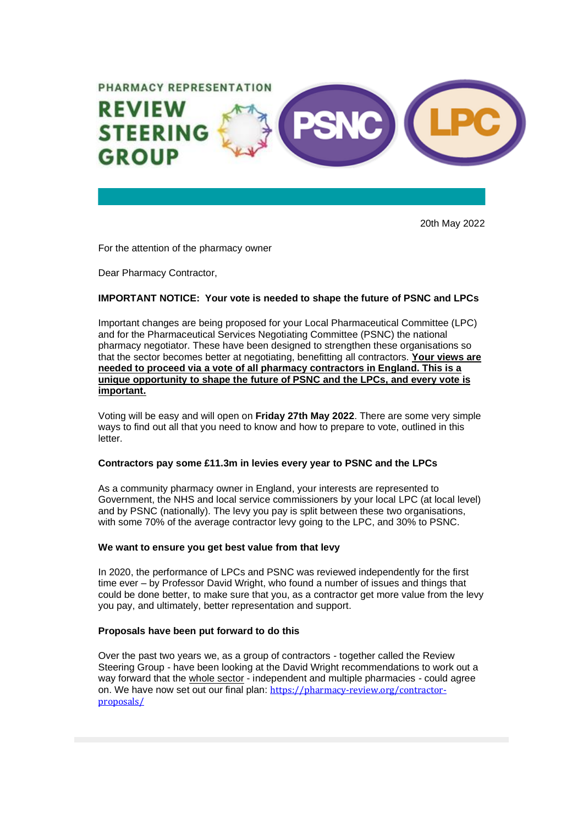

20th May 2022

For the attention of the pharmacy owner

Dear Pharmacy Contractor,

### **IMPORTANT NOTICE: Your vote is needed to shape the future of PSNC and LPCs**

Important changes are being proposed for your Local Pharmaceutical Committee (LPC) and for the Pharmaceutical Services Negotiating Committee (PSNC) the national pharmacy negotiator. These have been designed to strengthen these organisations so that the sector becomes better at negotiating, benefitting all contractors. **Your views are needed to proceed via a vote of all pharmacy contractors in England. This is a unique opportunity to shape the future of PSNC and the LPCs, and every vote is important.**

Voting will be easy and will open on **Friday 27th May 2022**. There are some very simple ways to find out all that you need to know and how to prepare to vote, outlined in this letter.

#### **Contractors pay some £11.3m in levies every year to PSNC and the LPCs**

As a community pharmacy owner in England, your interests are represented to Government, the NHS and local service commissioners by your local LPC (at local level) and by PSNC (nationally). The levy you pay is split between these two organisations, with some 70% of the average contractor levy going to the LPC, and 30% to PSNC.

#### **We want to ensure you get best value from that levy**

In 2020, the performance of LPCs and PSNC was reviewed independently for the first time ever – by Professor David Wright, who found a number of issues and things that could be done better, to make sure that you, as a contractor get more value from the levy you pay, and ultimately, better representation and support.

#### **Proposals have been put forward to do this**

Over the past two years we, as a group of contractors - together called the Review Steering Group - have been looking at the David Wright recommendations to work out a way forward that the whole sector - independent and multiple pharmacies - could agree on. We have now set out our final plan: [https://pharmacy-review.org/contractor](https://pharmacy-review.org/contractor-proposals/)[proposals/](https://pharmacy-review.org/contractor-proposals/)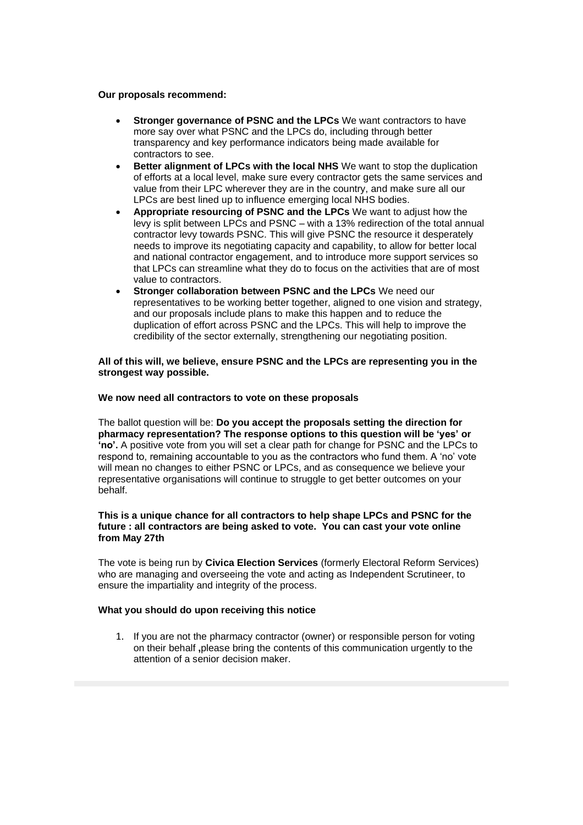#### **Our proposals recommend:**

- **Stronger governance of PSNC and the LPCs** We want contractors to have more say over what PSNC and the LPCs do, including through better transparency and key performance indicators being made available for contractors to see.
- **Better alignment of LPCs with the local NHS** We want to stop the duplication of efforts at a local level, make sure every contractor gets the same services and value from their LPC wherever they are in the country, and make sure all our LPCs are best lined up to influence emerging local NHS bodies.
- **Appropriate resourcing of PSNC and the LPCs** We want to adjust how the levy is split between LPCs and PSNC – with a 13% redirection of the total annual contractor levy towards PSNC. This will give PSNC the resource it desperately needs to improve its negotiating capacity and capability, to allow for better local and national contractor engagement, and to introduce more support services so that LPCs can streamline what they do to focus on the activities that are of most value to contractors.
- **Stronger collaboration between PSNC and the LPCs** We need our representatives to be working better together, aligned to one vision and strategy, and our proposals include plans to make this happen and to reduce the duplication of effort across PSNC and the LPCs. This will help to improve the credibility of the sector externally, strengthening our negotiating position.

## **All of this will, we believe, ensure PSNC and the LPCs are representing you in the strongest way possible.**

#### **We now need all contractors to vote on these proposals**

The ballot question will be: **Do you accept the proposals setting the direction for pharmacy representation? The response options to this question will be 'yes' or 'no'.** A positive vote from you will set a clear path for change for PSNC and the LPCs to respond to, remaining accountable to you as the contractors who fund them. A 'no' vote will mean no changes to either PSNC or LPCs, and as consequence we believe your representative organisations will continue to struggle to get better outcomes on your behalf.

## **This is a unique chance for all contractors to help shape LPCs and PSNC for the future : all contractors are being asked to vote. You can cast your vote online from May 27th**

The vote is being run by **Civica Election Services** (formerly Electoral Reform Services) who are managing and overseeing the vote and acting as Independent Scrutineer, to ensure the impartiality and integrity of the process.

#### **What you should do upon receiving this notice**

1. If you are not the pharmacy contractor (owner) or responsible person for voting on their behalf **,**please bring the contents of this communication urgently to the attention of a senior decision maker.